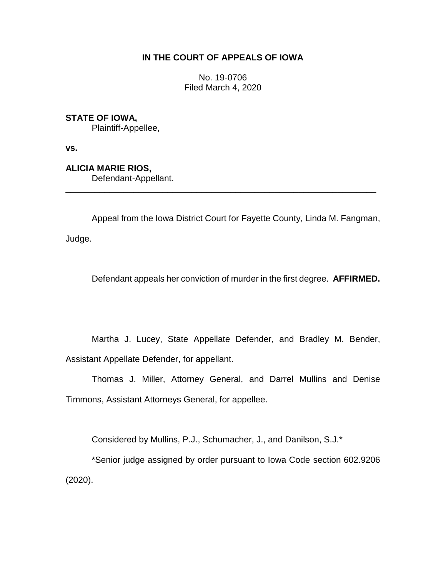# **IN THE COURT OF APPEALS OF IOWA**

No. 19-0706 Filed March 4, 2020

**STATE OF IOWA,**

Plaintiff-Appellee,

**vs.**

**ALICIA MARIE RIOS,**

Defendant-Appellant.

Appeal from the Iowa District Court for Fayette County, Linda M. Fangman, Judge.

\_\_\_\_\_\_\_\_\_\_\_\_\_\_\_\_\_\_\_\_\_\_\_\_\_\_\_\_\_\_\_\_\_\_\_\_\_\_\_\_\_\_\_\_\_\_\_\_\_\_\_\_\_\_\_\_\_\_\_\_\_\_\_\_

Defendant appeals her conviction of murder in the first degree. **AFFIRMED.**

Martha J. Lucey, State Appellate Defender, and Bradley M. Bender, Assistant Appellate Defender, for appellant.

Thomas J. Miller, Attorney General, and Darrel Mullins and Denise Timmons, Assistant Attorneys General, for appellee.

Considered by Mullins, P.J., Schumacher, J., and Danilson, S.J.\*

\*Senior judge assigned by order pursuant to Iowa Code section 602.9206 (2020).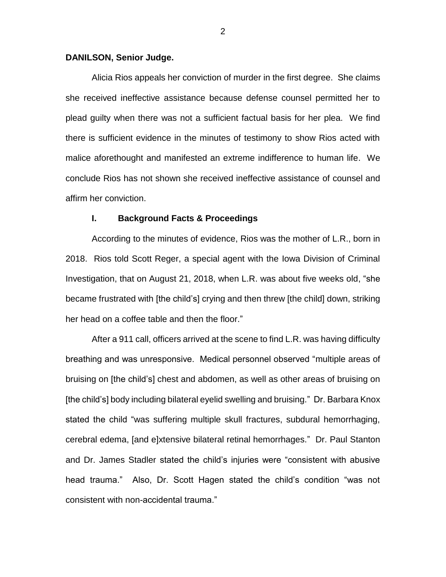## **DANILSON, Senior Judge.**

Alicia Rios appeals her conviction of murder in the first degree. She claims she received ineffective assistance because defense counsel permitted her to plead guilty when there was not a sufficient factual basis for her plea. We find there is sufficient evidence in the minutes of testimony to show Rios acted with malice aforethought and manifested an extreme indifference to human life. We conclude Rios has not shown she received ineffective assistance of counsel and affirm her conviction.

### **I. Background Facts & Proceedings**

According to the minutes of evidence, Rios was the mother of L.R., born in 2018. Rios told Scott Reger, a special agent with the Iowa Division of Criminal Investigation, that on August 21, 2018, when L.R. was about five weeks old, "she became frustrated with [the child's] crying and then threw [the child] down, striking her head on a coffee table and then the floor."

After a 911 call, officers arrived at the scene to find L.R. was having difficulty breathing and was unresponsive. Medical personnel observed "multiple areas of bruising on [the child's] chest and abdomen, as well as other areas of bruising on [the child's] body including bilateral eyelid swelling and bruising." Dr. Barbara Knox stated the child "was suffering multiple skull fractures, subdural hemorrhaging, cerebral edema, [and e]xtensive bilateral retinal hemorrhages." Dr. Paul Stanton and Dr. James Stadler stated the child's injuries were "consistent with abusive head trauma." Also, Dr. Scott Hagen stated the child's condition "was not consistent with non-accidental trauma."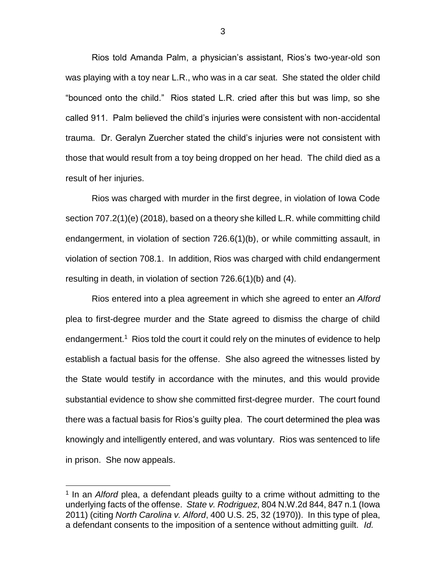Rios told Amanda Palm, a physician's assistant, Rios's two-year-old son was playing with a toy near L.R., who was in a car seat. She stated the older child "bounced onto the child." Rios stated L.R. cried after this but was limp, so she called 911. Palm believed the child's injuries were consistent with non-accidental trauma. Dr. Geralyn Zuercher stated the child's injuries were not consistent with those that would result from a toy being dropped on her head. The child died as a result of her injuries.

Rios was charged with murder in the first degree, in violation of Iowa Code section 707.2(1)(e) (2018), based on a theory she killed L.R. while committing child endangerment, in violation of section 726.6(1)(b), or while committing assault, in violation of section 708.1. In addition, Rios was charged with child endangerment resulting in death, in violation of section 726.6(1)(b) and (4).

Rios entered into a plea agreement in which she agreed to enter an *Alford* plea to first-degree murder and the State agreed to dismiss the charge of child endangerment.<sup>1</sup> Rios told the court it could rely on the minutes of evidence to help establish a factual basis for the offense. She also agreed the witnesses listed by the State would testify in accordance with the minutes, and this would provide substantial evidence to show she committed first-degree murder. The court found there was a factual basis for Rios's guilty plea. The court determined the plea was knowingly and intelligently entered, and was voluntary. Rios was sentenced to life in prison. She now appeals.

 $\overline{a}$ 

<sup>&</sup>lt;sup>1</sup> In an *Alford* plea, a defendant pleads guilty to a crime without admitting to the underlying facts of the offense. *State v. Rodriguez*, 804 N.W.2d 844, 847 n.1 (Iowa 2011) (citing *North Carolina v. Alford*, 400 U.S. 25, 32 (1970)). In this type of plea, a defendant consents to the imposition of a sentence without admitting guilt. *Id.*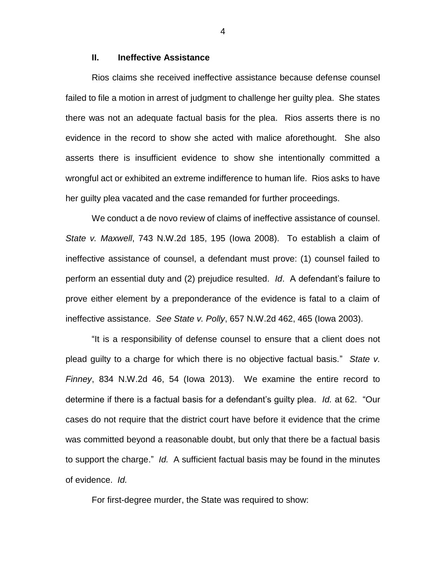## **II. Ineffective Assistance**

Rios claims she received ineffective assistance because defense counsel failed to file a motion in arrest of judgment to challenge her guilty plea. She states there was not an adequate factual basis for the plea. Rios asserts there is no evidence in the record to show she acted with malice aforethought. She also asserts there is insufficient evidence to show she intentionally committed a wrongful act or exhibited an extreme indifference to human life. Rios asks to have her guilty plea vacated and the case remanded for further proceedings.

We conduct a de novo review of claims of ineffective assistance of counsel. *State v. Maxwell*, 743 N.W.2d 185, 195 (Iowa 2008). To establish a claim of ineffective assistance of counsel, a defendant must prove: (1) counsel failed to perform an essential duty and (2) prejudice resulted. *Id*. A defendant's failure to prove either element by a preponderance of the evidence is fatal to a claim of ineffective assistance. *See State v. Polly*, 657 N.W.2d 462, 465 (Iowa 2003).

"It is a responsibility of defense counsel to ensure that a client does not plead guilty to a charge for which there is no objective factual basis." *State v. Finney*, 834 N.W.2d 46, 54 (Iowa 2013). We examine the entire record to determine if there is a factual basis for a defendant's guilty plea. *Id.* at 62. "Our cases do not require that the district court have before it evidence that the crime was committed beyond a reasonable doubt, but only that there be a factual basis to support the charge." *Id.* A sufficient factual basis may be found in the minutes of evidence. *Id.*

For first-degree murder, the State was required to show:

4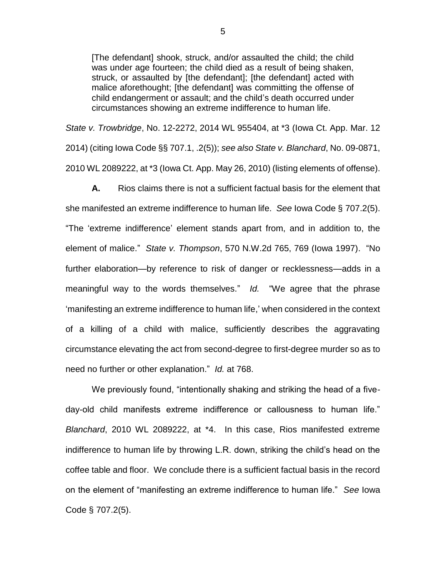[The defendant] shook, struck, and/or assaulted the child; the child was under age fourteen; the child died as a result of being shaken, struck, or assaulted by [the defendant]; [the defendant] acted with malice aforethought; [the defendant] was committing the offense of child endangerment or assault; and the child's death occurred under circumstances showing an extreme indifference to human life.

*State v. Trowbridge*, No. 12-2272, 2014 WL 955404, at \*3 (Iowa Ct. App. Mar. 12 2014) (citing Iowa Code §§ 707.1, .2(5)); *see also State v. Blanchard*, No. 09-0871, 2010 WL 2089222, at \*3 (Iowa Ct. App. May 26, 2010) (listing elements of offense).

**A.** Rios claims there is not a sufficient factual basis for the element that she manifested an extreme indifference to human life. *See* Iowa Code § 707.2(5). "The 'extreme indifference' element stands apart from, and in addition to, the element of malice." *State v. Thompson*, 570 N.W.2d 765, 769 (Iowa 1997). "No further elaboration—by reference to risk of danger or recklessness—adds in a meaningful way to the words themselves." *Id.* "We agree that the phrase 'manifesting an extreme indifference to human life,' when considered in the context of a killing of a child with malice, sufficiently describes the aggravating circumstance elevating the act from second-degree to first-degree murder so as to need no further or other explanation." *Id.* at 768.

We previously found, "intentionally shaking and striking the head of a fiveday-old child manifests extreme indifference or callousness to human life." *Blanchard*, 2010 WL 2089222, at \*4. In this case, Rios manifested extreme indifference to human life by throwing L.R. down, striking the child's head on the coffee table and floor. We conclude there is a sufficient factual basis in the record on the element of "manifesting an extreme indifference to human life." *See* Iowa Code § 707.2(5).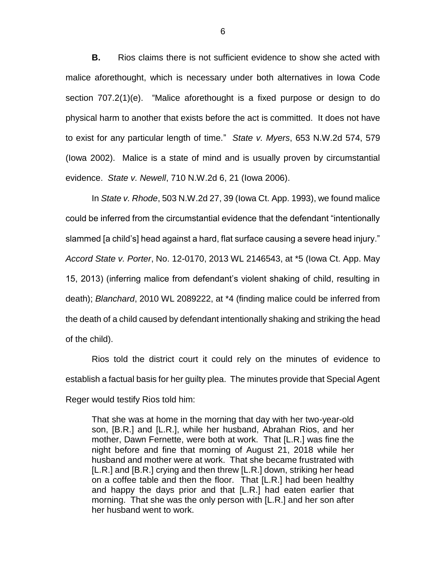**B.** Rios claims there is not sufficient evidence to show she acted with malice aforethought, which is necessary under both alternatives in Iowa Code section 707.2(1)(e). "Malice aforethought is a fixed purpose or design to do physical harm to another that exists before the act is committed. It does not have to exist for any particular length of time." *State v. Myers*, 653 N.W.2d 574, 579 (Iowa 2002). Malice is a state of mind and is usually proven by circumstantial evidence. *State v. Newell*, 710 N.W.2d 6, 21 (Iowa 2006).

In *State v. Rhode*, 503 N.W.2d 27, 39 (Iowa Ct. App. 1993), we found malice could be inferred from the circumstantial evidence that the defendant "intentionally slammed [a child's] head against a hard, flat surface causing a severe head injury." *Accord State v. Porter*, No. 12-0170, 2013 WL 2146543, at \*5 (Iowa Ct. App. May 15, 2013) (inferring malice from defendant's violent shaking of child, resulting in death); *Blanchard*, 2010 WL 2089222, at \*4 (finding malice could be inferred from the death of a child caused by defendant intentionally shaking and striking the head of the child).

Rios told the district court it could rely on the minutes of evidence to establish a factual basis for her guilty plea. The minutes provide that Special Agent Reger would testify Rios told him:

That she was at home in the morning that day with her two-year-old son, [B.R.] and [L.R.], while her husband, Abrahan Rios, and her mother, Dawn Fernette, were both at work. That [L.R.] was fine the night before and fine that morning of August 21, 2018 while her husband and mother were at work. That she became frustrated with [L.R.] and [B.R.] crying and then threw [L.R.] down, striking her head on a coffee table and then the floor. That [L.R.] had been healthy and happy the days prior and that [L.R.] had eaten earlier that morning. That she was the only person with [L.R.] and her son after her husband went to work.